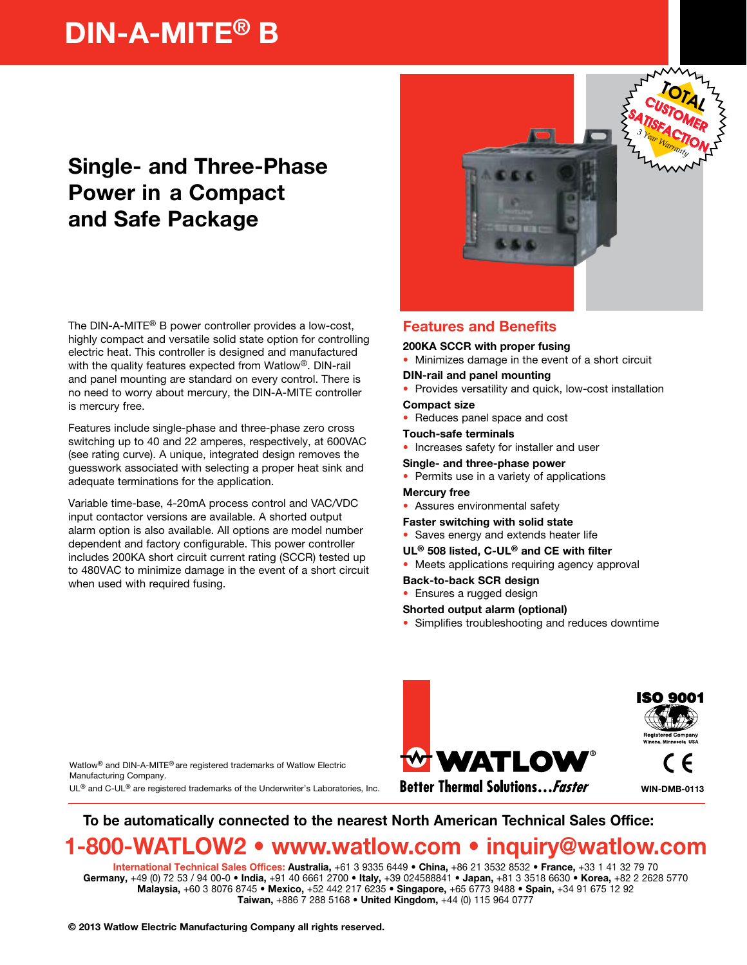# DIN-A-MITE® B

## Single- and Three-Phase Power in a Compact and Safe Package

The DIN-A-MITE® B power controller provides a low-cost, highly compact and versatile solid state option for controlling electric heat. This controller is designed and manufactured with the quality features expected from Watlow®. DIN-rail and panel mounting are standard on every control. There is no need to worry about mercury, the DIN-A-MITE controller is mercury free.

Features include single-phase and three-phase zero cross switching up to 40 and 22 amperes, respectively, at 600VAC (see rating curve). A unique, integrated design removes the guesswork associated with selecting a proper heat sink and adequate terminations for the application.

Variable time-base, 4-20mA process control and VAC/VDC input contactor versions are available. A shorted output alarm option is also available. All options are model number dependent and factory configurable. This power controller includes 200KA short circuit current rating (SCCR) tested up to 480VAC to minimize damage in the event of a short circuit when used with required fusing.



### Features and Benefits

200KA SCCR with proper fusing

- Minimizes damage in the event of a short circuit
- DIN-rail and panel mounting
- Provides versatility and quick, low-cost installation
- Compact size
- Reduces panel space and cost
- Touch-safe terminals
- Increases safety for installer and user
- Single- and three-phase power
- Permits use in a variety of applications

#### Mercury free

- Assures environmental safety
- Faster switching with solid state
- Saves energy and extends heater life
- UL® 508 listed, C-UL® and CE with filter
- Meets applications requiring agency approval
- Back-to-back SCR design
- Ensures a rugged design

#### Shorted output alarm (optional)

• Simplifies troubleshooting and reduces downtime



WIN-DMB-0113

Watlow® and DIN-A-MITE® are registered trademarks of Watlow Electric Manufacturing Company.

 $UL^{\circledR}$  and C-UL $^{\circledR}$  are registered trademarks of the Underwriter's Laboratories, Inc.

**Better Thermal Solutions... Faster** 

## To be automatically connected to the nearest North American Technical Sales Office:

## 1-800-WATLOW2 • www.watlow.com • inquiry@watlow.com

International Technical Sales Offices: Australia, +61 3 9335 6449 • China, +86 21 3532 8532 • France, +33 1 41 32 79 70 Germany, +49 (0) 72 53 / 94 00-0 • India, +91 40 6661 2700 • Italy, +39 024588841 • Japan, +81 3 3518 6630 • Korea, +82 2 2628 5770 Malaysia, +60 3 8076 8745 • Mexico, +52 442 217 6235 • Singapore, +65 6773 9488 • Spain, +34 91 675 12 92 Taiwan, +886 7 288 5168 • United Kingdom, +44 (0) 115 964 0777